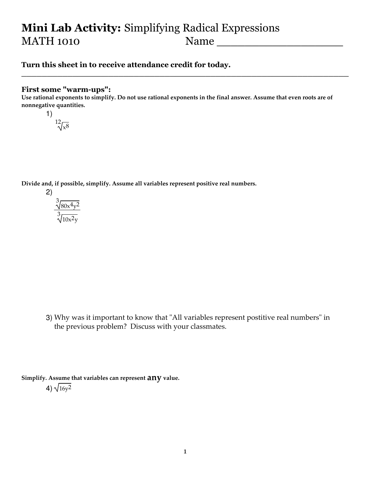# Mini Lab Activity: Simplifying Radical Expressions MATH 1010 Name

## Turn this sheet in to receive attendance credit for today.

#### First some "warm-ups":

Use rational exponents to simplify. Do not use rational exponents in the final answer. Assume that even roots are of nonnegative quantities.

\_\_\_\_\_\_\_\_\_\_\_\_\_\_\_\_\_\_\_\_\_\_\_\_\_\_\_\_\_\_\_\_\_\_\_\_\_\_\_\_\_\_\_\_\_\_\_\_\_\_\_\_\_\_\_\_\_\_\_\_\_\_\_\_

1)  $\sqrt[12]{x^8}$ 

Divide and, if possible, simplify. Assume all variables represent positive real numbers.



3) Why was it important to know that "All variables represent postitive real numbers" in the previous problem? Discuss with your classmates.

Simplify. Assume that variables can represent  $any$  value. 4)  $\sqrt{16y^2}$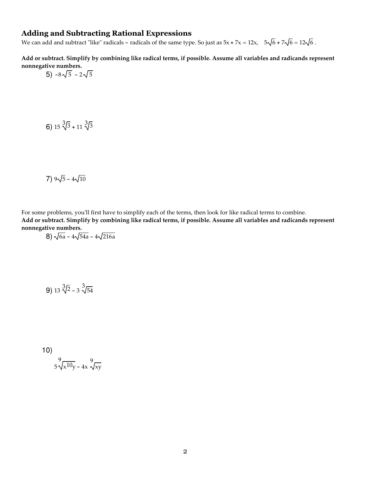#### Adding and Subtracting Rational Expressions

We can add and subtract "like" radicals - radicals of the same type. So just as  $5x + 7x = 12x$ ,  $5\sqrt{6} + 7\sqrt{6} = 12\sqrt{6}$ .

Add or subtract. Simplify by combining like radical terms, if possible. Assume all variables and radicands represent nonnegative numbers.

$$
5) -8\sqrt{5} - 2\sqrt{5}
$$

6)  $15\sqrt[3]{3} + 11\sqrt[3]{3}$ 

7)  $9\sqrt{5} - 4\sqrt{10}$ 

For some problems, you'll first have to simplify each of the terms, then look for like radical terms to combine. Add or subtract. Simplify by combining like radical terms, if possible. Assume all variables and radicands represent nonnegative numbers.

8) 
$$
\sqrt{6a} - 4\sqrt{54a} - 4\sqrt{216a}
$$

**9**) 13  $\sqrt[3]{2}$  – 3  $\sqrt[3]{54}$ 

10)  

$$
\int_{5}^{9} \sqrt{x^{10}y} - 4x \sqrt{xy}
$$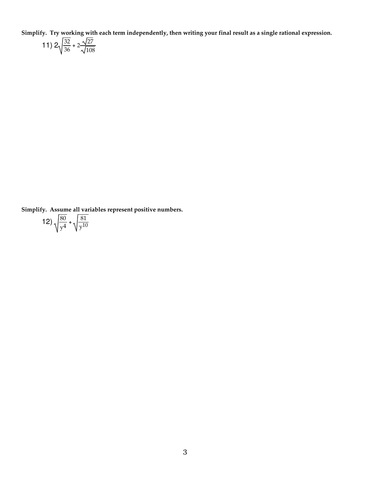Simplify. Try working with each term independently, then writing your final result as a single rational expression.

11) 
$$
2\sqrt{\frac{32}{36} + 2\frac{\sqrt{27}}{\sqrt{108}}}
$$

Simplify. Assume all variables represent positive numbers.

12) 
$$
\sqrt{\frac{80}{y^4}} + \sqrt{\frac{81}{y^{10}}}
$$